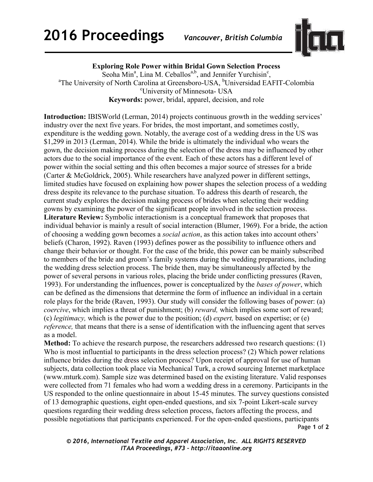

**Exploring Role Power within Bridal Gown Selection Process** 

Seoha Min<sup>a</sup>, Lina M. Ceballos<sup>a,b</sup>, and Jennifer Yurchisin<sup>c</sup>, <sup>a</sup>The University of North Carolina at Greensboro-USA, <sup>b</sup>Universidad EAFIT-Colombia <sup>c</sup>University of Minnesota- USA **Keywords:** power, bridal, apparel, decision, and role

**Introduction:** IBISWorld (Lerman, 2014) projects continuous growth in the wedding services' industry over the next five years. For brides, the most important, and sometimes costly, expenditure is the wedding gown. Notably, the average cost of a wedding dress in the US was \$1,299 in 2013 (Lerman, 2014). While the bride is ultimately the individual who wears the gown, the decision making process during the selection of the dress may be influenced by other actors due to the social importance of the event. Each of these actors has a different level of power within the social setting and this often becomes a major source of stresses for a bride (Carter & McGoldrick, 2005). While researchers have analyzed power in different settings, limited studies have focused on explaining how power shapes the selection process of a wedding dress despite its relevance to the purchase situation. To address this dearth of research, the current study explores the decision making process of brides when selecting their wedding gowns by examining the power of the significant people involved in the selection process. **Literature Review:** Symbolic interactionism is a conceptual framework that proposes that individual behavior is mainly a result of social interaction (Blumer, 1969). For a bride, the action of choosing a wedding gown becomes a *social action*, as this action takes into account others' beliefs (Charon, 1992). Raven (1993) defines power as the possibility to influence others and change their behavior or thought. For the case of the bride, this power can be mainly subscribed to members of the bride and groom's family systems during the wedding preparations, including the wedding dress selection process. The bride then, may be simultaneously affected by the power of several persons in various roles, placing the bride under conflicting pressures (Raven, 1993). For understanding the influences, power is conceptualized by the *bases of power*, which can be defined as the dimensions that determine the form of influence an individual in a certain role plays for the bride (Raven, 1993). Our study will consider the following bases of power: (a) *coercive*, which implies a threat of punishment; (b) *reward,* which implies some sort of reward; (c) *legitimacy,* which is the power due to the position; (d) *expert,* based on expertise; or (e) *reference*, that means that there is a sense of identification with the influencing agent that serves as a model.

Page **1** of **2 Method:** To achieve the research purpose, the researchers addressed two research questions: (1) Who is most influential to participants in the dress selection process? (2) Which power relations influence brides during the dress selection process? Upon receipt of approval for use of human subjects, data collection took place via Mechanical Turk, a crowd sourcing Internet marketplace (www.mturk.com). Sample size was determined based on the existing literature. Valid responses were collected from 71 females who had worn a wedding dress in a ceremony. Participants in the US responded to the online questionnaire in about 15-45 minutes. The survey questions consisted of 13 demographic questions, eight open-ended questions, and six 7-point Likert-scale survey questions regarding their wedding dress selection process, factors affecting the process, and possible negotiations that participants experienced. For the open-ended questions, participants

*© 2016, International Textile and Apparel Association, Inc. ALL RIGHTS RESERVED ITAA Proceedings, #73 – http://itaaonline.org*